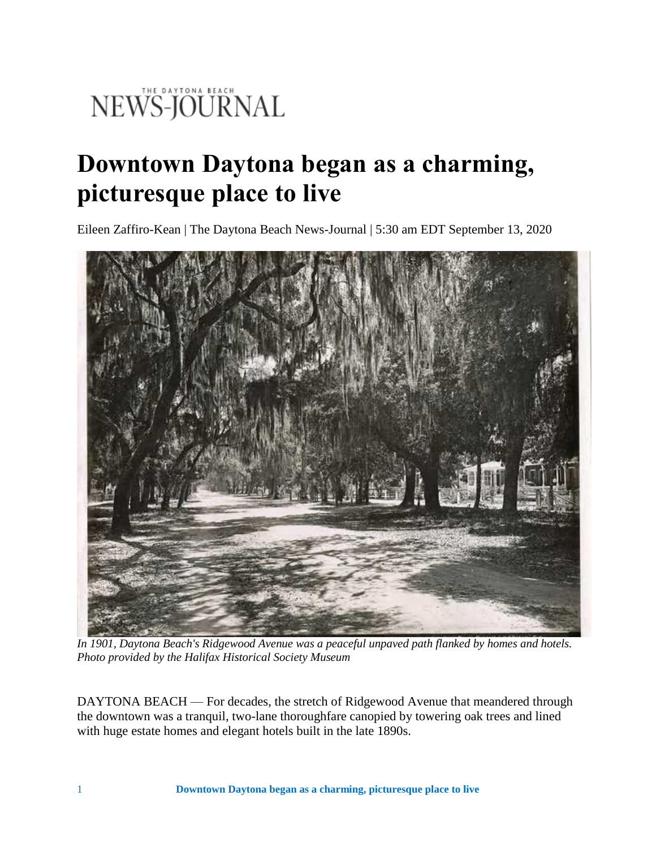# NEWS-JOURNAL

## **Downtown Daytona began as a charming, picturesque place to live**

Eileen Zaffiro-Kean | The Daytona Beach News-Journal | 5:30 am EDT September 13, 2020



*In 1901, Daytona Beach's Ridgewood Avenue was a peaceful unpaved path flanked by homes and hotels. Photo provided by the Halifax Historical Society Museum*

DAYTONA BEACH — For decades, the stretch of Ridgewood Avenue that meandered through the downtown was a tranquil, two-lane thoroughfare canopied by towering oak trees and lined with huge estate homes and elegant hotels built in the late 1890s.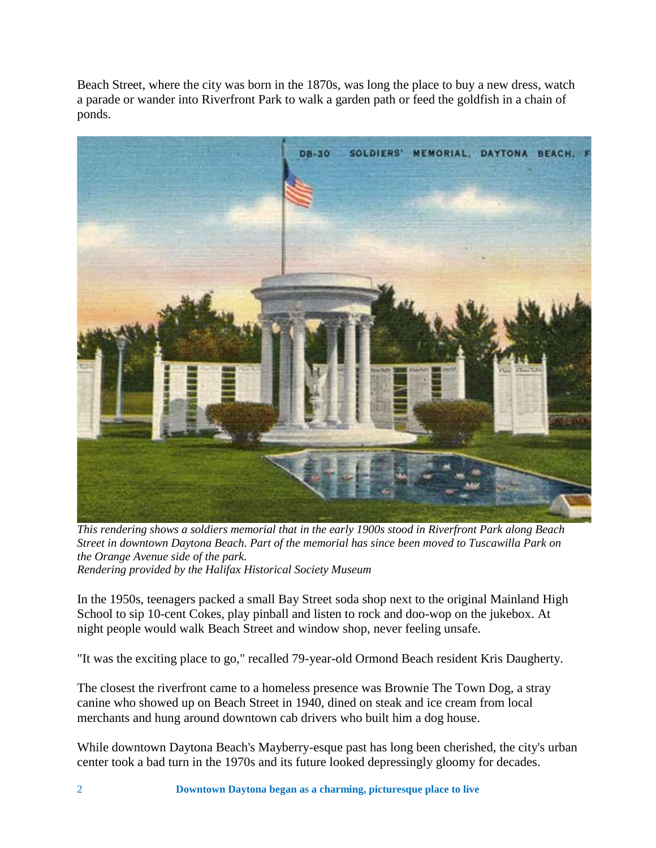Beach Street, where the city was born in the 1870s, was long the place to buy a new dress, watch a parade or wander into Riverfront Park to walk a garden path or feed the goldfish in a chain of ponds.



*This rendering shows a soldiers memorial that in the early 1900s stood in Riverfront Park along Beach Street in downtown Daytona Beach. Part of the memorial has since been moved to Tuscawilla Park on the Orange Avenue side of the park. Rendering provided by the Halifax Historical Society Museum*

In the 1950s, teenagers packed a small Bay Street soda shop next to the original Mainland High School to sip 10-cent Cokes, play pinball and listen to rock and doo-wop on the jukebox. At night people would walk Beach Street and window shop, never feeling unsafe.

"It was the exciting place to go," recalled 79-year-old Ormond Beach resident Kris Daugherty.

The closest the riverfront came to a homeless presence was Brownie The Town Dog, a stray canine who showed up on Beach Street in 1940, dined on steak and ice cream from local merchants and hung around downtown cab drivers who built him a dog house.

While downtown Daytona Beach's Mayberry-esque past has long been cherished, the city's urban center took a bad turn in the 1970s and its future looked depressingly gloomy for decades.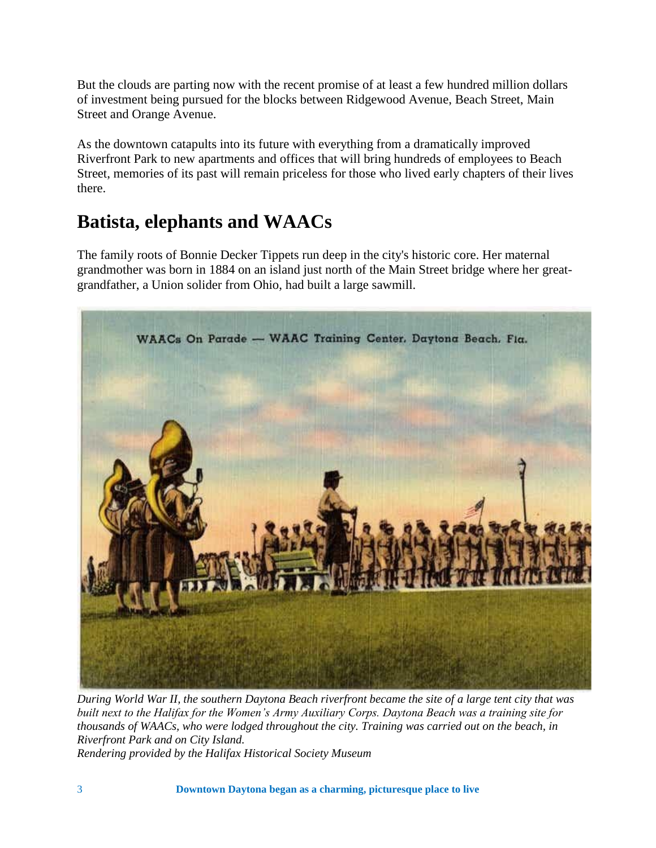But the clouds are parting now with the recent promise of at least a few hundred million dollars of investment being pursued for the blocks between Ridgewood Avenue, Beach Street, Main Street and Orange Avenue.

As the downtown catapults into its future with everything from a dramatically improved Riverfront Park to new apartments and offices that will bring hundreds of employees to Beach Street, memories of its past will remain priceless for those who lived early chapters of their lives there.

### **Batista, elephants and WAACs**

The family roots of Bonnie Decker Tippets run deep in the city's historic core. Her maternal grandmother was born in 1884 on an island just north of the Main Street bridge where her greatgrandfather, a Union solider from Ohio, had built a large sawmill.



*During World War II, the southern Daytona Beach riverfront became the site of a large tent city that was built next to the Halifax for the Women's Army Auxiliary Corps. Daytona Beach was a training site for thousands of WAACs, who were lodged throughout the city. Training was carried out on the beach, in Riverfront Park and on City Island. Rendering provided by the Halifax Historical Society Museum*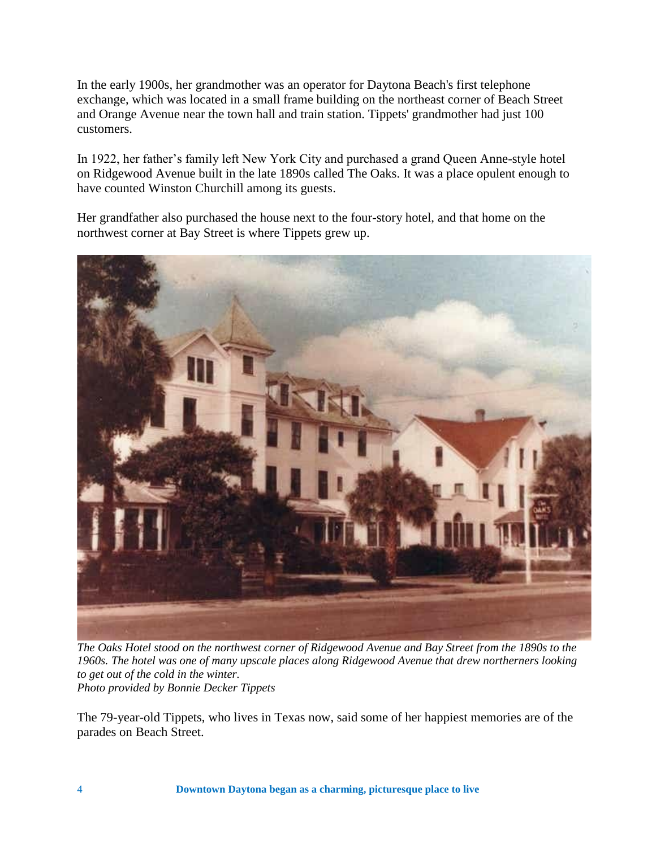In the early 1900s, her grandmother was an operator for Daytona Beach's first telephone exchange, which was located in a small frame building on the northeast corner of Beach Street and Orange Avenue near the town hall and train station. Tippets' grandmother had just 100 customers.

In 1922, her father's family left New York City and purchased a grand Queen Anne-style hotel on Ridgewood Avenue built in the late 1890s called The Oaks. It was a place opulent enough to have counted Winston Churchill among its guests.

Her grandfather also purchased the house next to the four-story hotel, and that home on the northwest corner at Bay Street is where Tippets grew up.



*The Oaks Hotel stood on the northwest corner of Ridgewood Avenue and Bay Street from the 1890s to the 1960s. The hotel was one of many upscale places along Ridgewood Avenue that drew northerners looking to get out of the cold in the winter. Photo provided by Bonnie Decker Tippets*

The 79-year-old Tippets, who lives in Texas now, said some of her happiest memories are of the parades on Beach Street.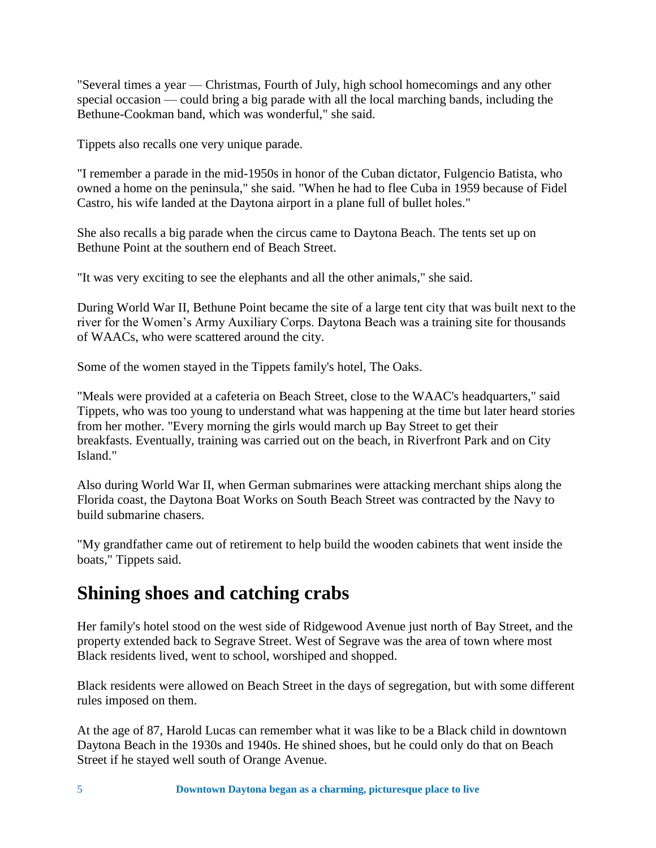"Several times a year — Christmas, Fourth of July, high school homecomings and any other special occasion — could bring a big parade with all the local marching bands, including the Bethune-Cookman band, which was wonderful," she said.

Tippets also recalls one very unique parade.

"I remember a parade in the mid-1950s in honor of the Cuban dictator, Fulgencio Batista, who owned a home on the peninsula," she said. "When he had to flee Cuba in 1959 because of Fidel Castro, his wife landed at the Daytona airport in a plane full of bullet holes."

She also recalls a big parade when the circus came to Daytona Beach. The tents set up on Bethune Point at the southern end of Beach Street.

"It was very exciting to see the elephants and all the other animals," she said.

During World War II, Bethune Point became the site of a large tent city that was built next to the river for the Women's Army Auxiliary Corps. Daytona Beach was a training site for thousands of WAACs, who were scattered around the city.

Some of the women stayed in the Tippets family's hotel, The Oaks.

"Meals were provided at a cafeteria on Beach Street, close to the WAAC's headquarters," said Tippets, who was too young to understand what was happening at the time but later heard stories from her mother. "Every morning the girls would march up Bay Street to get their breakfasts. Eventually, training was carried out on the beach, in Riverfront Park and on City Island."

Also during World War II, when German submarines were attacking merchant ships along the Florida coast, the Daytona Boat Works on South Beach Street was contracted by the Navy to build submarine chasers.

"My grandfather came out of retirement to help build the wooden cabinets that went inside the boats," Tippets said.

#### **Shining shoes and catching crabs**

Her family's hotel stood on the west side of Ridgewood Avenue just north of Bay Street, and the property extended back to Segrave Street. West of Segrave was the area of town where most Black residents lived, went to school, worshiped and shopped.

Black residents were allowed on Beach Street in the days of segregation, but with some different rules imposed on them.

At the age of 87, Harold Lucas can remember what it was like to be a Black child in downtown Daytona Beach in the 1930s and 1940s. He shined shoes, but he could only do that on Beach Street if he stayed well south of Orange Avenue.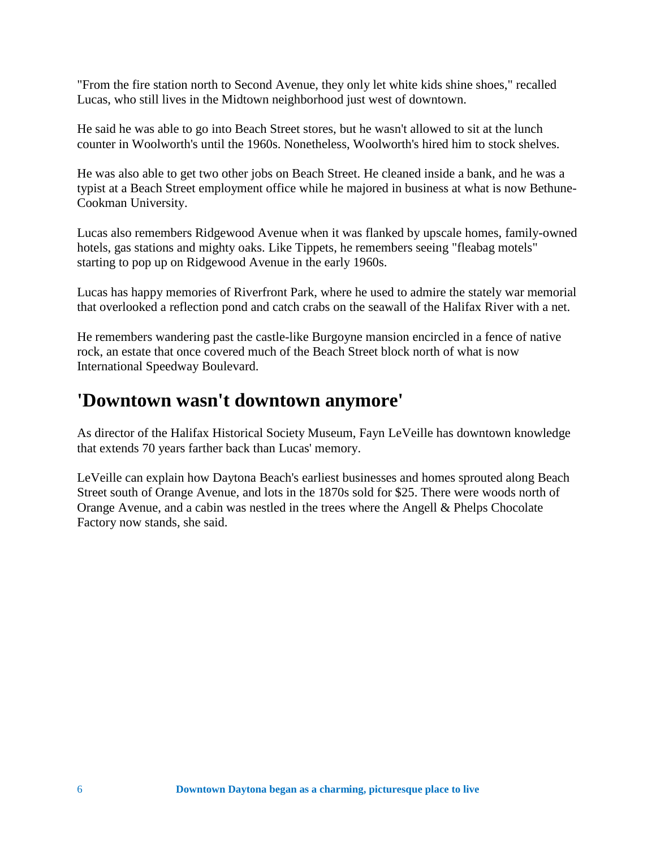"From the fire station north to Second Avenue, they only let white kids shine shoes," recalled Lucas, who still lives in the Midtown neighborhood just west of downtown.

He said he was able to go into Beach Street stores, but he wasn't allowed to sit at the lunch counter in Woolworth's until the 1960s. Nonetheless, Woolworth's hired him to stock shelves.

He was also able to get two other jobs on Beach Street. He cleaned inside a bank, and he was a typist at a Beach Street employment office while he majored in business at what is now Bethune-Cookman University.

Lucas also remembers Ridgewood Avenue when it was flanked by upscale homes, family-owned hotels, gas stations and mighty oaks. Like Tippets, he remembers seeing "fleabag motels" starting to pop up on Ridgewood Avenue in the early 1960s.

Lucas has happy memories of Riverfront Park, where he used to admire the stately war memorial that overlooked a reflection pond and catch crabs on the seawall of the Halifax River with a net.

He remembers wandering past the castle-like Burgoyne mansion encircled in a fence of native rock, an estate that once covered much of the Beach Street block north of what is now International Speedway Boulevard.

#### **'Downtown wasn't downtown anymore'**

As director of the Halifax Historical Society Museum, Fayn LeVeille has downtown knowledge that extends 70 years farther back than Lucas' memory.

LeVeille can explain how Daytona Beach's earliest businesses and homes sprouted along Beach Street south of Orange Avenue, and lots in the 1870s sold for \$25. There were woods north of Orange Avenue, and a cabin was nestled in the trees where the Angell & Phelps Chocolate Factory now stands, she said.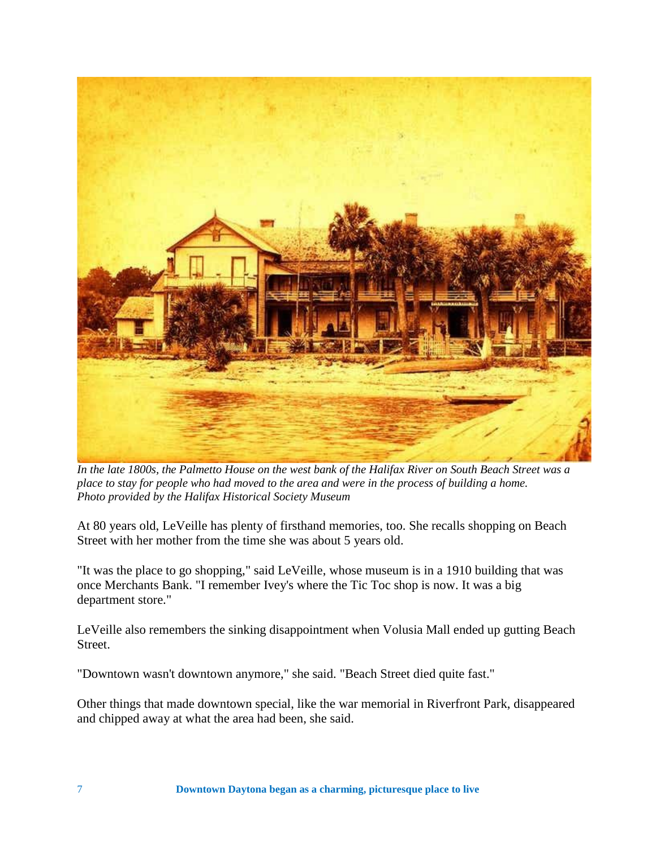

*In the late 1800s, the Palmetto House on the west bank of the Halifax River on South Beach Street was a place to stay for people who had moved to the area and were in the process of building a home. Photo provided by the Halifax Historical Society Museum*

At 80 years old, LeVeille has plenty of firsthand memories, too. She recalls shopping on Beach Street with her mother from the time she was about 5 years old.

"It was the place to go shopping," said LeVeille, whose museum is in a 1910 building that was once Merchants Bank. "I remember Ivey's where the Tic Toc shop is now. It was a big department store."

LeVeille also remembers the sinking disappointment when Volusia Mall ended up gutting Beach Street.

"Downtown wasn't downtown anymore," she said. "Beach Street died quite fast."

Other things that made downtown special, like the war memorial in Riverfront Park, disappeared and chipped away at what the area had been, she said.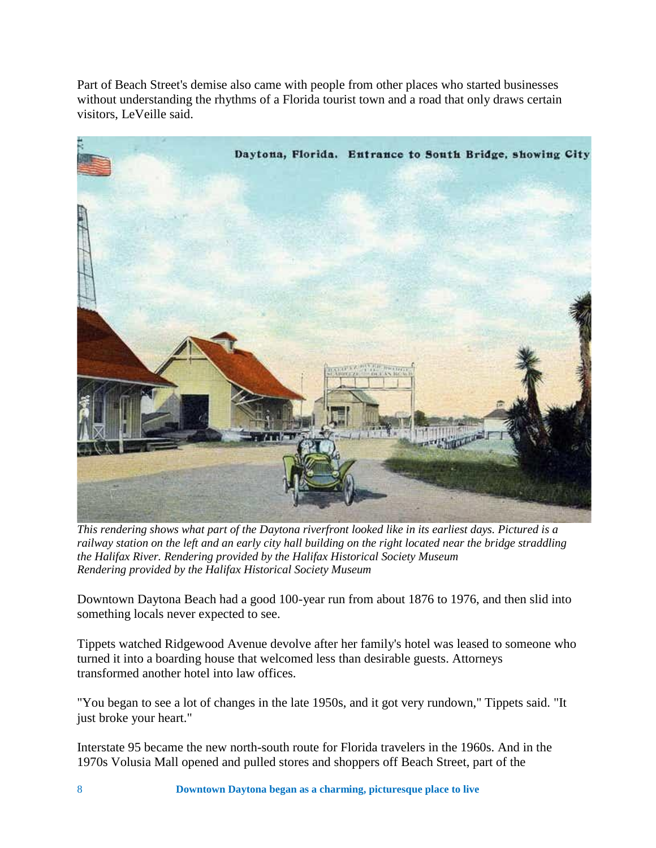Part of Beach Street's demise also came with people from other places who started businesses without understanding the rhythms of a Florida tourist town and a road that only draws certain visitors, LeVeille said.



*This rendering shows what part of the Daytona riverfront looked like in its earliest days. Pictured is a railway station on the left and an early city hall building on the right located near the bridge straddling the Halifax River. Rendering provided by the Halifax Historical Society Museum Rendering provided by the Halifax Historical Society Museum*

Downtown Daytona Beach had a good 100-year run from about 1876 to 1976, and then slid into something locals never expected to see.

Tippets watched Ridgewood Avenue devolve after her family's hotel was leased to someone who turned it into a boarding house that welcomed less than desirable guests. Attorneys transformed another hotel into law offices.

"You began to see a lot of changes in the late 1950s, and it got very rundown," Tippets said. "It just broke your heart."

Interstate 95 became the new north-south route for Florida travelers in the 1960s. And in the 1970s Volusia Mall opened and pulled stores and shoppers off Beach Street, part of the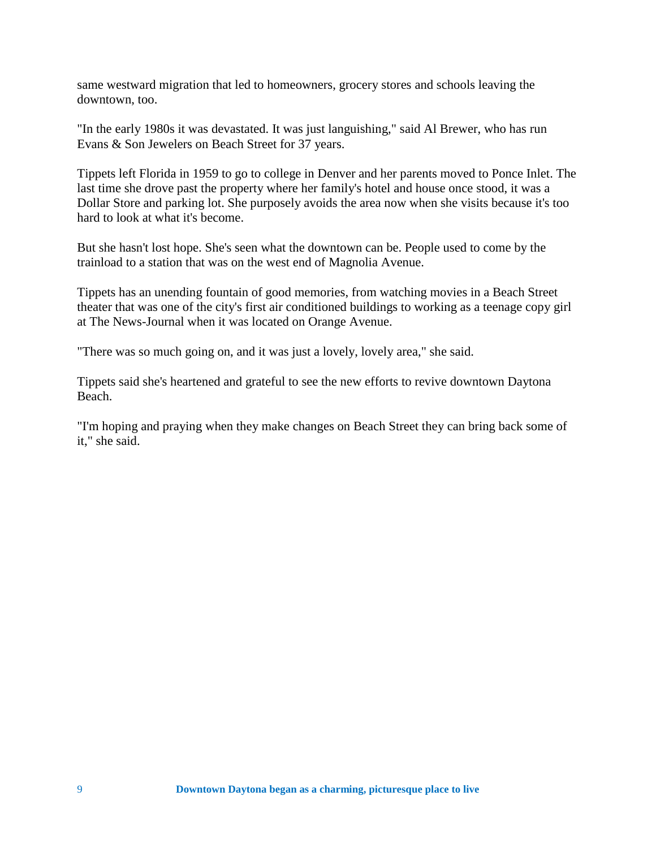same westward migration that led to homeowners, grocery stores and schools leaving the downtown, too.

"In the early 1980s it was devastated. It was just languishing," said Al Brewer, who has run Evans & Son Jewelers on Beach Street for 37 years.

Tippets left Florida in 1959 to go to college in Denver and her parents moved to Ponce Inlet. The last time she drove past the property where her family's hotel and house once stood, it was a Dollar Store and parking lot. She purposely avoids the area now when she visits because it's too hard to look at what it's become.

But she hasn't lost hope. She's seen what the downtown can be. People used to come by the trainload to a station that was on the west end of Magnolia Avenue.

Tippets has an unending fountain of good memories, from watching movies in a Beach Street theater that was one of the city's first air conditioned buildings to working as a teenage copy girl at The News-Journal when it was located on Orange Avenue.

"There was so much going on, and it was just a lovely, lovely area," she said.

Tippets said she's heartened and grateful to see the new efforts to revive downtown Daytona Beach.

"I'm hoping and praying when they make changes on Beach Street they can bring back some of it," she said.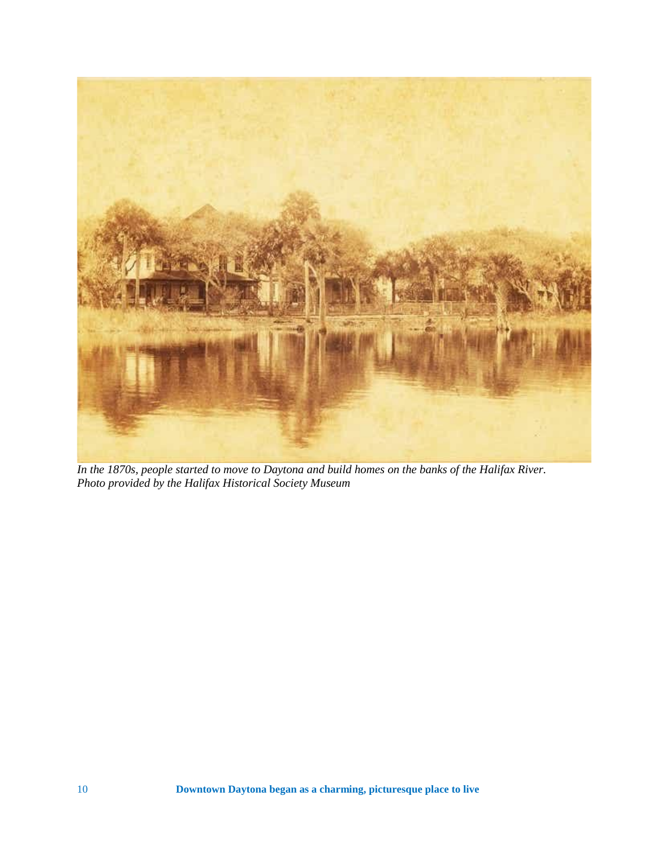

*In the 1870s, people started to move to Daytona and build homes on the banks of the Halifax River. Photo provided by the Halifax Historical Society Museum*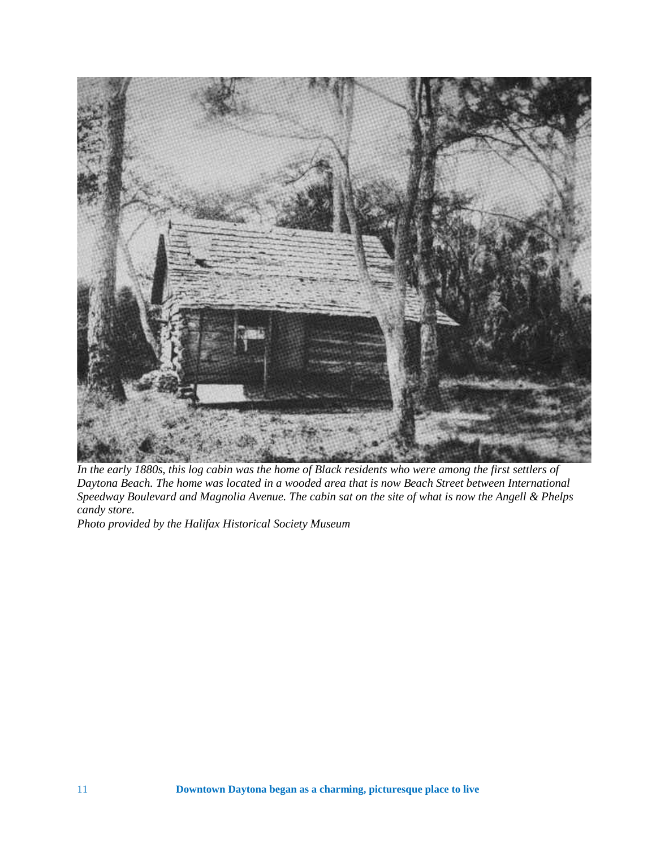

*In the early 1880s, this log cabin was the home of Black residents who were among the first settlers of Daytona Beach. The home was located in a wooded area that is now Beach Street between International Speedway Boulevard and Magnolia Avenue. The cabin sat on the site of what is now the Angell & Phelps candy store.*

*Photo provided by the Halifax Historical Society Museum*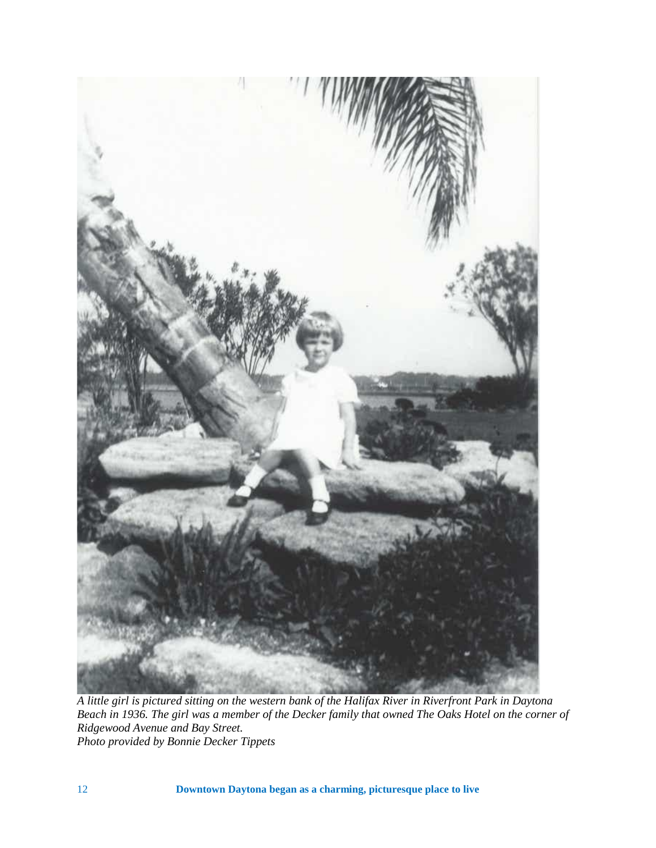

*A little girl is pictured sitting on the western bank of the Halifax River in Riverfront Park in Daytona Beach in 1936. The girl was a member of the Decker family that owned The Oaks Hotel on the corner of Ridgewood Avenue and Bay Street. Photo provided by Bonnie Decker Tippets*